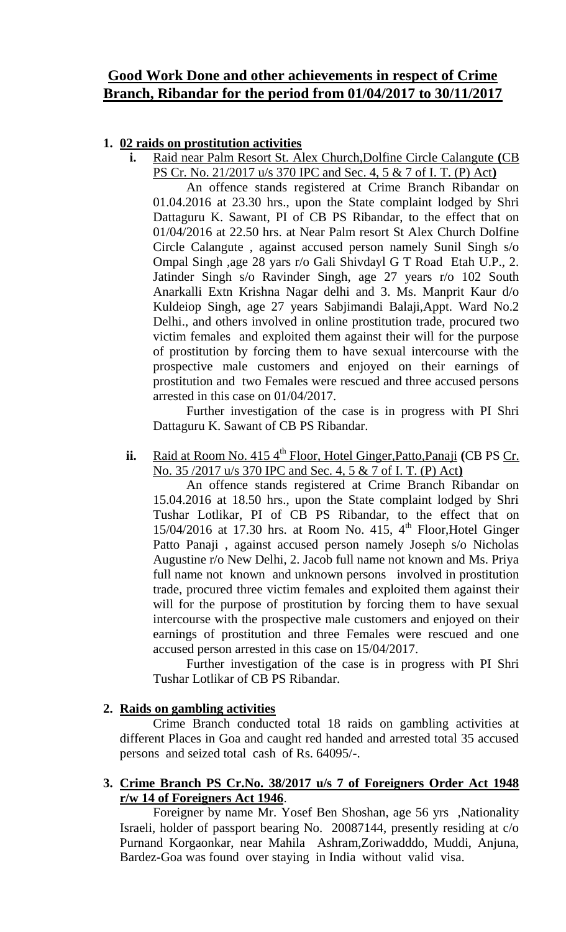# **Good Work Done and other achievements in respect of Crime Branch, Ribandar for the period from 01/04/2017 to 30/11/2017**

## **1. 02 raids on prostitution activities**

**i.** Raid near Palm Resort St. Alex Church,Dolfine Circle Calangute **(**CB PS Cr. No. 21/2017 u/s 370 IPC and Sec. 4, 5 & 7 of I. T. (P) Act**)**

An offence stands registered at Crime Branch Ribandar on 01.04.2016 at 23.30 hrs., upon the State complaint lodged by Shri Dattaguru K. Sawant, PI of CB PS Ribandar, to the effect that on 01/04/2016 at 22.50 hrs. at Near Palm resort St Alex Church Dolfine Circle Calangute , against accused person namely Sunil Singh s/o Ompal Singh ,age 28 yars r/o Gali Shivdayl G T Road Etah U.P., 2. Jatinder Singh s/o Ravinder Singh, age 27 years r/o 102 South Anarkalli Extn Krishna Nagar delhi and 3. Ms. Manprit Kaur d/o Kuldeiop Singh, age 27 years Sabjimandi Balaji,Appt. Ward No.2 Delhi., and others involved in online prostitution trade, procured two victim females and exploited them against their will for the purpose of prostitution by forcing them to have sexual intercourse with the prospective male customers and enjoyed on their earnings of prostitution and two Females were rescued and three accused persons arrested in this case on 01/04/2017.

Further investigation of the case is in progress with PI Shri Dattaguru K. Sawant of CB PS Ribandar.

ii. Raid at Room No. 415 4<sup>th</sup> Floor, Hotel Ginger, Patto, Panaji **(CB PS Cr.**) No. 35 /2017 u/s 370 IPC and Sec. 4, 5 & 7 of I. T. (P) Act**)**

An offence stands registered at Crime Branch Ribandar on 15.04.2016 at 18.50 hrs., upon the State complaint lodged by Shri Tushar Lotlikar, PI of CB PS Ribandar, to the effect that on  $15/04/2016$  at 17.30 hrs. at Room No. 415, 4<sup>th</sup> Floor, Hotel Ginger Patto Panaji , against accused person namely Joseph s/o Nicholas Augustine r/o New Delhi, 2. Jacob full name not known and Ms. Priya full name not known and unknown persons involved in prostitution trade, procured three victim females and exploited them against their will for the purpose of prostitution by forcing them to have sexual intercourse with the prospective male customers and enjoyed on their earnings of prostitution and three Females were rescued and one accused person arrested in this case on 15/04/2017.

Further investigation of the case is in progress with PI Shri Tushar Lotlikar of CB PS Ribandar.

## **2. Raids on gambling activities**

Crime Branch conducted total 18 raids on gambling activities at different Places in Goa and caught red handed and arrested total 35 accused persons and seized total cash of Rs. 64095/-.

### **3. Crime Branch PS Cr.No. 38/2017 u/s 7 of Foreigners Order Act 1948 r/w 14 of Foreigners Act 1946**.

Foreigner by name Mr. Yosef Ben Shoshan, age 56 yrs ,Nationality Israeli, holder of passport bearing No. 20087144, presently residing at c/o Purnand Korgaonkar, near Mahila Ashram,Zoriwadddo, Muddi, Anjuna, Bardez-Goa was found over staying in India without valid visa.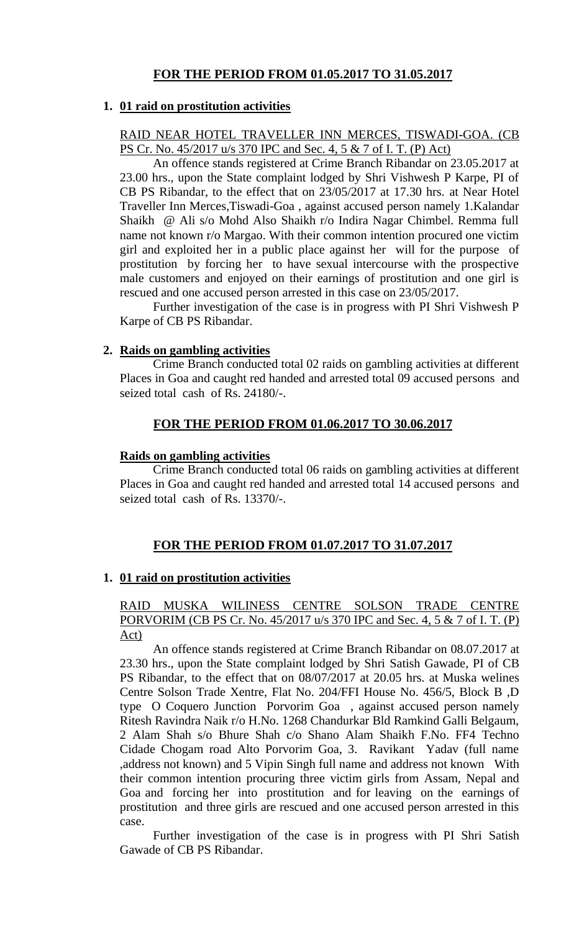## **FOR THE PERIOD FROM 01.05.2017 TO 31.05.2017**

#### **1. 01 raid on prostitution activities**

#### RAID NEAR HOTEL TRAVELLER INN MERCES, TISWADI-GOA. (CB PS Cr. No. 45/2017 u/s 370 IPC and Sec. 4, 5 & 7 of I. T. (P) Act)

An offence stands registered at Crime Branch Ribandar on 23.05.2017 at 23.00 hrs., upon the State complaint lodged by Shri Vishwesh P Karpe, PI of CB PS Ribandar, to the effect that on 23/05/2017 at 17.30 hrs. at Near Hotel Traveller Inn Merces,Tiswadi-Goa , against accused person namely 1.Kalandar Shaikh @ Ali s/o Mohd Also Shaikh r/o Indira Nagar Chimbel. Remma full name not known r/o Margao. With their common intention procured one victim girl and exploited her in a public place against her will for the purpose of prostitution by forcing her to have sexual intercourse with the prospective male customers and enjoyed on their earnings of prostitution and one girl is rescued and one accused person arrested in this case on 23/05/2017.

Further investigation of the case is in progress with PI Shri Vishwesh P Karpe of CB PS Ribandar.

#### **2. Raids on gambling activities**

Crime Branch conducted total 02 raids on gambling activities at different Places in Goa and caught red handed and arrested total 09 accused persons and seized total cash of Rs. 24180/-.

## **FOR THE PERIOD FROM 01.06.2017 TO 30.06.2017**

#### **Raids on gambling activities**

Crime Branch conducted total 06 raids on gambling activities at different Places in Goa and caught red handed and arrested total 14 accused persons and seized total cash of Rs. 13370/-.

### **FOR THE PERIOD FROM 01.07.2017 TO 31.07.2017**

### **1. 01 raid on prostitution activities**

#### RAID MUSKA WILINESS CENTRE SOLSON TRADE CENTRE PORVORIM (CB PS Cr. No. 45/2017 u/s 370 IPC and Sec. 4, 5 & 7 of I. T. (P) Act)

An offence stands registered at Crime Branch Ribandar on 08.07.2017 at 23.30 hrs., upon the State complaint lodged by Shri Satish Gawade, PI of CB PS Ribandar, to the effect that on 08/07/2017 at 20.05 hrs. at Muska welines Centre Solson Trade Xentre, Flat No. 204/FFI House No. 456/5, Block B ,D type O Coquero Junction Porvorim Goa , against accused person namely Ritesh Ravindra Naik r/o H.No. 1268 Chandurkar Bld Ramkind Galli Belgaum, 2 Alam Shah s/o Bhure Shah c/o Shano Alam Shaikh F.No. FF4 Techno Cidade Chogam road Alto Porvorim Goa, 3. Ravikant Yadav (full name ,address not known) and 5 Vipin Singh full name and address not known With their common intention procuring three victim girls from Assam, Nepal and Goa and forcing her into prostitution and for leaving on the earnings of prostitution and three girls are rescued and one accused person arrested in this case.

Further investigation of the case is in progress with PI Shri Satish Gawade of CB PS Ribandar.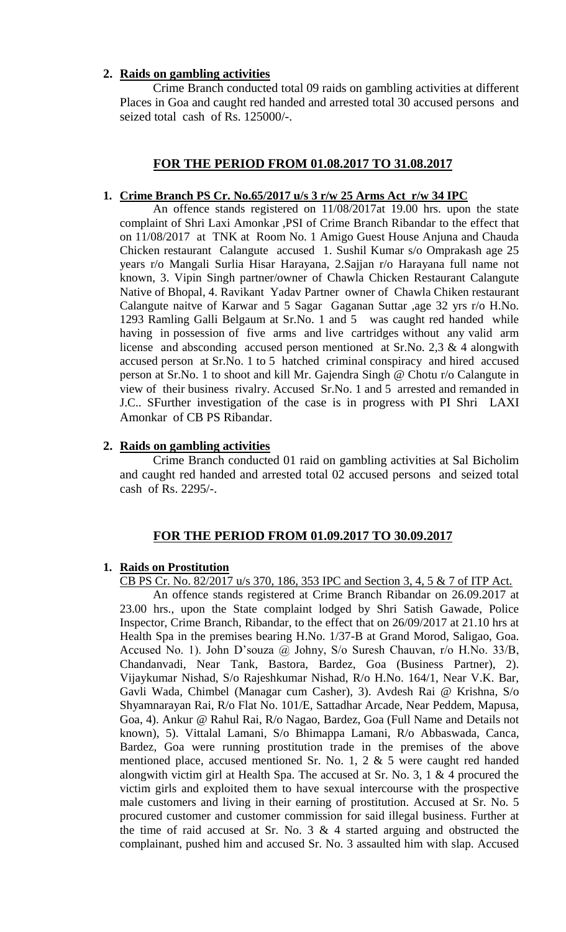#### **2. Raids on gambling activities**

Crime Branch conducted total 09 raids on gambling activities at different Places in Goa and caught red handed and arrested total 30 accused persons and seized total cash of Rs. 125000/-.

#### **FOR THE PERIOD FROM 01.08.2017 TO 31.08.2017**

#### **1. Crime Branch PS Cr. No.65/2017 u/s 3 r/w 25 Arms Act r/w 34 IPC**

An offence stands registered on 11/08/2017at 19.00 hrs. upon the state complaint of Shri Laxi Amonkar ,PSI of Crime Branch Ribandar to the effect that on 11/08/2017 at TNK at Room No. 1 Amigo Guest House Anjuna and Chauda Chicken restaurant Calangute accused 1. Sushil Kumar s/o Omprakash age 25 years r/o Mangali Surlia Hisar Harayana, 2.Sajjan r/o Harayana full name not known, 3. Vipin Singh partner/owner of Chawla Chicken Restaurant Calangute Native of Bhopal, 4. Ravikant Yadav Partner owner of Chawla Chiken restaurant Calangute naitve of Karwar and 5 Sagar Gaganan Suttar ,age 32 yrs r/o H.No. 1293 Ramling Galli Belgaum at Sr.No. 1 and 5 was caught red handed while having in possession of five arms and live cartridges without any valid arm license and absconding accused person mentioned at Sr.No. 2,3  $\&$  4 alongwith accused person at Sr.No. 1 to 5 hatched criminal conspiracy and hired accused person at Sr.No. 1 to shoot and kill Mr. Gajendra Singh @ Chotu r/o Calangute in view of their business rivalry. Accused Sr.No. 1 and 5 arrested and remanded in J.C.. SFurther investigation of the case is in progress with PI Shri LAXI Amonkar of CB PS Ribandar.

#### **2. Raids on gambling activities**

Crime Branch conducted 01 raid on gambling activities at Sal Bicholim and caught red handed and arrested total 02 accused persons and seized total cash of Rs. 2295/-.

#### **FOR THE PERIOD FROM 01.09.2017 TO 30.09.2017**

#### **1. Raids on Prostitution**

CB PS Cr. No. 82/2017 u/s 370, 186, 353 IPC and Section 3, 4, 5 & 7 of ITP Act.

An offence stands registered at Crime Branch Ribandar on 26.09.2017 at 23.00 hrs., upon the State complaint lodged by Shri Satish Gawade, Police Inspector, Crime Branch, Ribandar, to the effect that on 26/09/2017 at 21.10 hrs at Health Spa in the premises bearing H.No. 1/37-B at Grand Morod, Saligao, Goa. Accused No. 1). John D'souza @ Johny, S/o Suresh Chauvan, r/o H.No. 33/B, Chandanvadi, Near Tank, Bastora, Bardez, Goa (Business Partner), 2). Vijaykumar Nishad, S/o Rajeshkumar Nishad, R/o H.No. 164/1, Near V.K. Bar, Gavli Wada, Chimbel (Managar cum Casher), 3). Avdesh Rai @ Krishna, S/o Shyamnarayan Rai, R/o Flat No. 101/E, Sattadhar Arcade, Near Peddem, Mapusa, Goa, 4). Ankur @ Rahul Rai, R/o Nagao, Bardez, Goa (Full Name and Details not known), 5). Vittalal Lamani, S/o Bhimappa Lamani, R/o Abbaswada, Canca, Bardez, Goa were running prostitution trade in the premises of the above mentioned place, accused mentioned Sr. No. 1, 2 & 5 were caught red handed alongwith victim girl at Health Spa. The accused at Sr. No. 3, 1 & 4 procured the victim girls and exploited them to have sexual intercourse with the prospective male customers and living in their earning of prostitution. Accused at Sr. No. 5 procured customer and customer commission for said illegal business. Further at the time of raid accused at Sr. No.  $3 \& 4$  started arguing and obstructed the complainant, pushed him and accused Sr. No. 3 assaulted him with slap. Accused